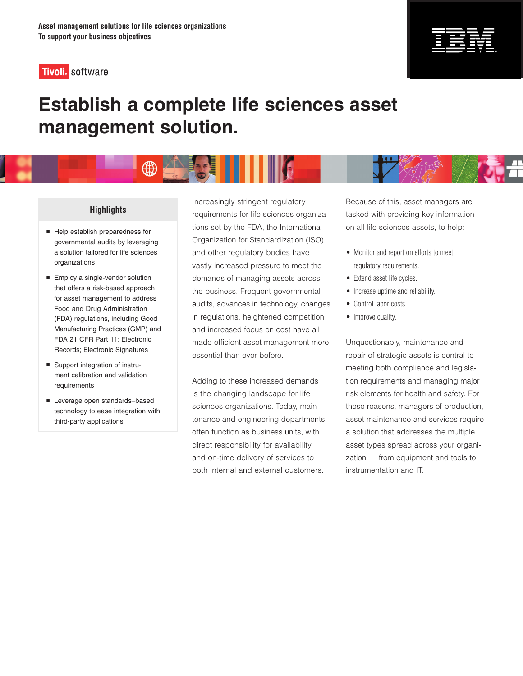



# **Establish a complete life sciences asset management solution.**



## **Highlights**

- Help establish preparedness for governmental audits by leveraging a solution tailored for life sciences organizations
- **Employ a single-vendor solution** that offers a risk-based approach for asset management to address Food and Drug Administration (FDA) regulations, including Good Manufacturing Practices (GMP) and FDA 21 CFR Part 11: Electronic Records; Electronic Signatures
- Support integration of instrument calibration and validation requirements
- Leverage open standards-based technology to ease integration with third-party applications

Increasingly stringent regulatory requirements for life sciences organizations set by the FDA, the International Organization for Standardization (ISO) and other regulatory bodies have vastly increased pressure to meet the demands of managing assets across the business. Frequent governmental audits, advances in technology, changes in regulations, heightened competition and increased focus on cost have all made efficient asset management more essential than ever before.

Adding to these increased demands is the changing landscape for life sciences organizations. Today, maintenance and engineering departments often function as business units, with direct responsibility for availability and on-time delivery of services to both internal and external customers.

Because of this, asset managers are tasked with providing key information on all life sciences assets, to help:

- Monitor and report on efforts to meet regulatory requirements.
- Extend asset life cycles.
- Increase uptime and reliability.
- Control labor costs.
- Improve quality.

Unquestionably, maintenance and repair of strategic assets is central to meeting both compliance and legislation requirements and managing major risk elements for health and safety. For these reasons, managers of production, asset maintenance and services require a solution that addresses the multiple asset types spread across your organization — from equipment and tools to instrumentation and IT.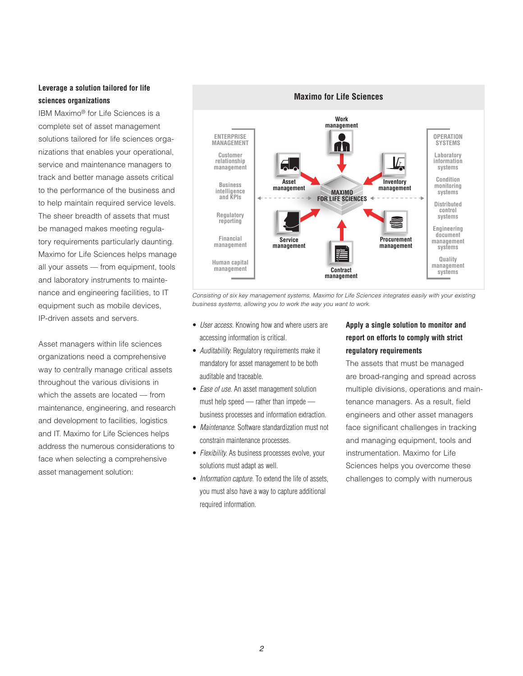## **Leverage a solution tailored for life sciences organizations**

IBM Maximo® for Life Sciences is a complete set of asset management solutions tailored for life sciences organizations that enables your operational, service and maintenance managers to track and better manage assets critical to the performance of the business and to help maintain required service levels. The sheer breadth of assets that must be managed makes meeting regulatory requirements particularly daunting. Maximo for Life Sciences helps manage all your assets — from equipment, tools and laboratory instruments to maintenance and engineering facilities, to IT equipment such as mobile devices, IP-driven assets and servers.

Asset managers within life sciences organizations need a comprehensive way to centrally manage critical assets throughout the various divisions in which the assets are located — from maintenance, engineering, and research and development to facilities, logistics and IT. Maximo for Life Sciences helps address the numerous considerations to face when selecting a comprehensive asset management solution:



*Consisting of six key management systems, Maximo for Life Sciences integrates easily with your existing business systems, allowing you to work the way you want to work.*

- *User access.* Knowing how and where users are accessing information is critical.
- *Auditability.* Regulatory requirements make it mandatory for asset management to be both auditable and traceable.
- *Ease of use.* An asset management solution must help speed — rather than impede business processes and information extraction.
- • *Maintenance.* Software standardization must not constrain maintenance processes.
- *Flexibility.* As business processes evolve, your solutions must adapt as well.
- *Information capture*. To extend the life of assets, you must also have a way to capture additional required information.

## **Apply a single solution to monitor and report on efforts to comply with strict regulatory requirements**

The assets that must be managed are broad-ranging and spread across multiple divisions, operations and maintenance managers. As a result, field engineers and other asset managers face significant challenges in tracking and managing equipment, tools and instrumentation. Maximo for Life Sciences helps you overcome these challenges to comply with numerous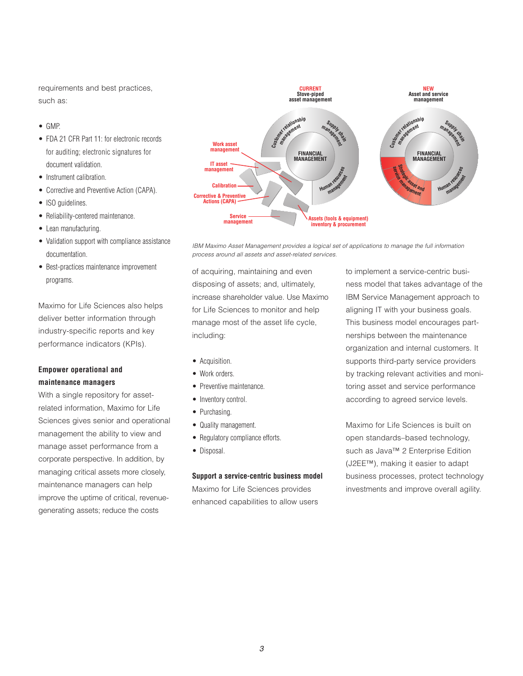requirements and best practices, such as:

- • GMP.
- FDA 21 CFR Part 11: for electronic records for auditing; electronic signatures for document validation.
- Instrument calibration.
- Corrective and Preventive Action (CAPA).
- ISO guidelines.
- Reliability-centered maintenance.
- Lean manufacturing.
- Validation support with compliance assistance documentation.
- • Best-practices maintenance improvement programs.

Maximo for Life Sciences also helps deliver better information through industry-specific reports and key performance indicators (KPIs).

## **Empower operational and maintenance managers**

With a single repository for assetrelated information, Maximo for Life Sciences gives senior and operational management the ability to view and manage asset performance from a corporate perspective. In addition, by managing critical assets more closely, maintenance managers can help improve the uptime of critical, revenuegenerating assets; reduce the costs



*IBM Maximo Asset Management provides a logical set of applications to manage the full information process around all assets and asset-related services.*

of acquiring, maintaining and even disposing of assets; and, ultimately, increase shareholder value. Use Maximo for Life Sciences to monitor and help manage most of the asset life cycle, including:

- Acquisition.
- Work orders.
- Preventive maintenance.
- Inventory control.
- Purchasing.
- Quality management.
- Regulatory compliance efforts.
- Disposal.

#### **Support a service-centric business model**

Maximo for Life Sciences provides enhanced capabilities to allow users to implement a service-centric business model that takes advantage of the IBM Service Management approach to aligning IT with your business goals. This business model encourages partnerships between the maintenance organization and internal customers. It supports third-party service providers by tracking relevant activities and monitoring asset and service performance according to agreed service levels.

Maximo for Life Sciences is built on open standards–based technology, such as Java™ 2 Enterprise Edition (J2EE™), making it easier to adapt business processes, protect technology investments and improve overall agility.